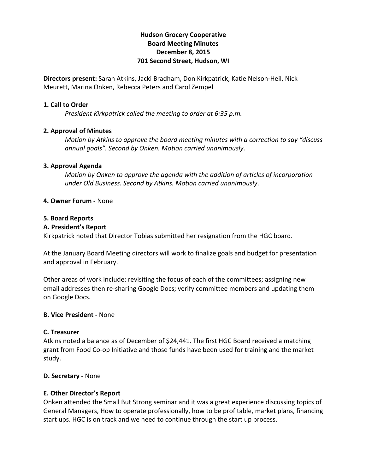# **Hudson Grocery Cooperative Board Meeting Minutes December 8, 2015 701 Second Street, Hudson, WI**

**Directors present:** Sarah Atkins, Jacki Bradham, Don Kirkpatrick, Katie Nelson-Heil, Nick Meurett, Marina Onken, Rebecca Peters and Carol Zempel

### **1. Call to Order**

*President Kirkpatrick called the meeting to order at 6:35 p.m.*

### **2. Approval of Minutes**

*Motion by Atkins to approve the board meeting minutes with a correction to say "discuss annual goals". Second by Onken. Motion carried unanimously*.

### **3. Approval Agenda**

*Motion by Onken to approve the agenda with the addition of articles of incorporation under Old Business. Second by Atkins. Motion carried unanimously*.

### **4. Owner Forum -** None

### **5. Board Reports**

### **A. President's Report**

Kirkpatrick noted that Director Tobias submitted her resignation from the HGC board.

At the January Board Meeting directors will work to finalize goals and budget for presentation and approval in February.

Other areas of work include: revisiting the focus of each of the committees; assigning new email addresses then re-sharing Google Docs; verify committee members and updating them on Google Docs.

### **B. Vice President -** None

### **C. Treasurer**

Atkins noted a balance as of December of \$24,441. The first HGC Board received a matching grant from Food Co-op Initiative and those funds have been used for training and the market study.

### **D. Secretary -** None

### **E. Other Director's Report**

Onken attended the Small But Strong seminar and it was a great experience discussing topics of General Managers, How to operate professionally, how to be profitable, market plans, financing start ups. HGC is on track and we need to continue through the start up process.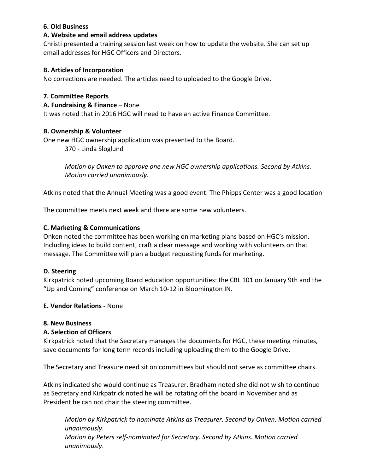### **6. Old Business**

### **A. Website and email address updates**

Christi presented a training session last week on how to update the website. She can set up email addresses for HGC Officers and Directors.

# **B. Articles of Incorporation**

No corrections are needed. The articles need to uploaded to the Google Drive.

# **7. Committee Reports**

### **A. Fundraising & Finance** – None

It was noted that in 2016 HGC will need to have an active Finance Committee.

### **B. Ownership & Volunteer**

One new HGC ownership application was presented to the Board.

370 - Linda Sloglund

*Motion by Onken to approve one new HGC ownership applications. Second by Atkins. Motion carried unanimously*.

Atkins noted that the Annual Meeting was a good event. The Phipps Center was a good location

The committee meets next week and there are some new volunteers.

### **C. Marketing & Communications**

Onken noted the committee has been working on marketing plans based on HGC's mission. Including ideas to build content, craft a clear message and working with volunteers on that message. The Committee will plan a budget requesting funds for marketing.

### **D. Steering**

Kirkpatrick noted upcoming Board education opportunities: the CBL 101 on January 9th and the "Up and Coming" conference on March 10-12 in Bloomington IN.

### **E. Vendor Relations -** None

### **8. New Business**

### **A. Selection of Officers**

Kirkpatrick noted that the Secretary manages the documents for HGC, these meeting minutes, save documents for long term records including uploading them to the Google Drive.

The Secretary and Treasure need sit on committees but should not serve as committee chairs.

Atkins indicated she would continue as Treasurer. Bradham noted she did not wish to continue as Secretary and Kirkpatrick noted he will be rotating off the board in November and as President he can not chair the steering committee.

*Motion by Kirkpatrick to nominate Atkins as Treasurer. Second by Onken. Motion carried unanimously*. *Motion by Peters self-nominated for Secretary. Second by Atkins. Motion carried unanimously*.